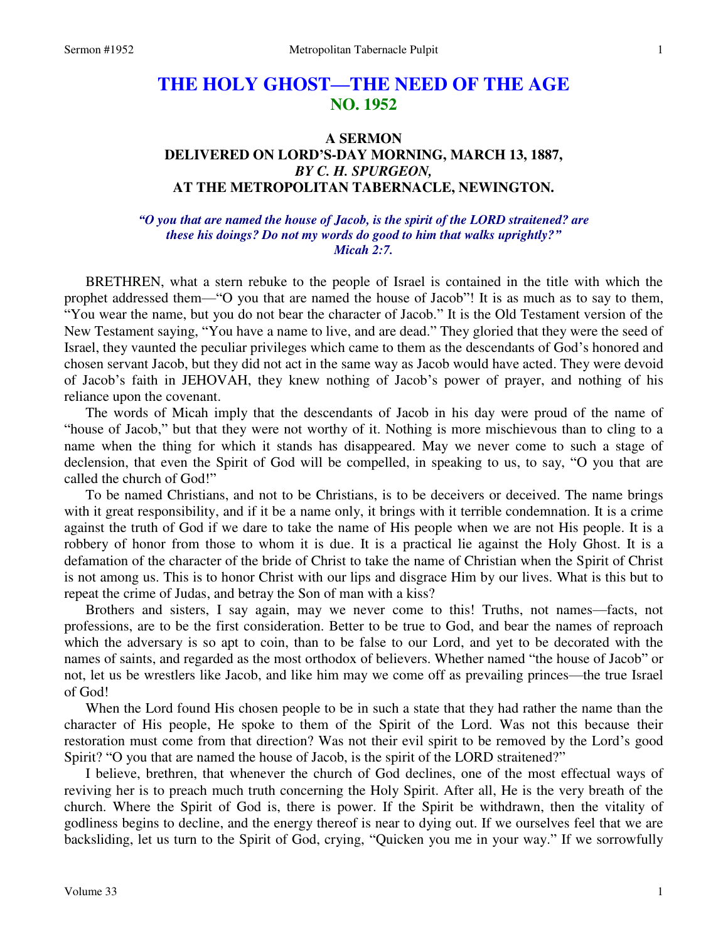## **THE HOLY GHOST—THE NEED OF THE AGE NO. 1952**

## **A SERMON DELIVERED ON LORD'S-DAY MORNING, MARCH 13, 1887,**  *BY C. H. SPURGEON,*  **AT THE METROPOLITAN TABERNACLE, NEWINGTON.**

*"O you that are named the house of Jacob, is the spirit of the LORD straitened? are these his doings? Do not my words do good to him that walks uprightly?" Micah 2:7.* 

BRETHREN, what a stern rebuke to the people of Israel is contained in the title with which the prophet addressed them—"O you that are named the house of Jacob"! It is as much as to say to them, "You wear the name, but you do not bear the character of Jacob." It is the Old Testament version of the New Testament saying, "You have a name to live, and are dead." They gloried that they were the seed of Israel, they vaunted the peculiar privileges which came to them as the descendants of God's honored and chosen servant Jacob, but they did not act in the same way as Jacob would have acted. They were devoid of Jacob's faith in JEHOVAH, they knew nothing of Jacob's power of prayer, and nothing of his reliance upon the covenant.

The words of Micah imply that the descendants of Jacob in his day were proud of the name of "house of Jacob," but that they were not worthy of it. Nothing is more mischievous than to cling to a name when the thing for which it stands has disappeared. May we never come to such a stage of declension, that even the Spirit of God will be compelled, in speaking to us, to say, "O you that are called the church of God!"

To be named Christians, and not to be Christians, is to be deceivers or deceived. The name brings with it great responsibility, and if it be a name only, it brings with it terrible condemnation. It is a crime against the truth of God if we dare to take the name of His people when we are not His people. It is a robbery of honor from those to whom it is due. It is a practical lie against the Holy Ghost. It is a defamation of the character of the bride of Christ to take the name of Christian when the Spirit of Christ is not among us. This is to honor Christ with our lips and disgrace Him by our lives. What is this but to repeat the crime of Judas, and betray the Son of man with a kiss?

Brothers and sisters, I say again, may we never come to this! Truths, not names—facts, not professions, are to be the first consideration. Better to be true to God, and bear the names of reproach which the adversary is so apt to coin, than to be false to our Lord, and yet to be decorated with the names of saints, and regarded as the most orthodox of believers. Whether named "the house of Jacob" or not, let us be wrestlers like Jacob, and like him may we come off as prevailing princes—the true Israel of God!

When the Lord found His chosen people to be in such a state that they had rather the name than the character of His people, He spoke to them of the Spirit of the Lord. Was not this because their restoration must come from that direction? Was not their evil spirit to be removed by the Lord's good Spirit? "O you that are named the house of Jacob, is the spirit of the LORD straitened?"

I believe, brethren, that whenever the church of God declines, one of the most effectual ways of reviving her is to preach much truth concerning the Holy Spirit. After all, He is the very breath of the church. Where the Spirit of God is, there is power. If the Spirit be withdrawn, then the vitality of godliness begins to decline, and the energy thereof is near to dying out. If we ourselves feel that we are backsliding, let us turn to the Spirit of God, crying, "Quicken you me in your way." If we sorrowfully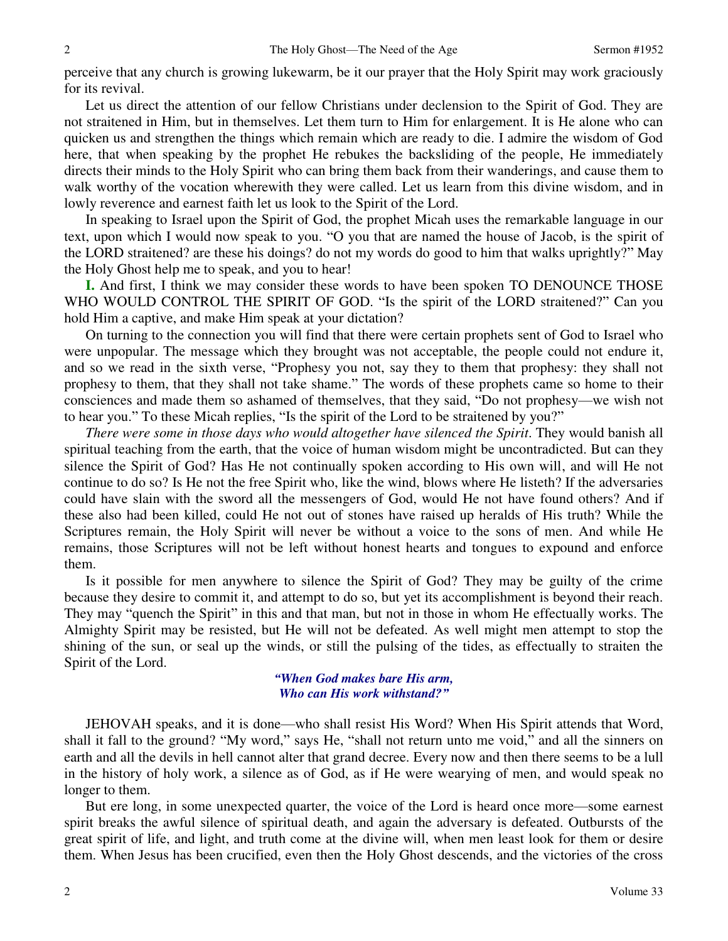perceive that any church is growing lukewarm, be it our prayer that the Holy Spirit may work graciously for its revival.

Let us direct the attention of our fellow Christians under declension to the Spirit of God. They are not straitened in Him, but in themselves. Let them turn to Him for enlargement. It is He alone who can quicken us and strengthen the things which remain which are ready to die. I admire the wisdom of God here, that when speaking by the prophet He rebukes the backsliding of the people, He immediately directs their minds to the Holy Spirit who can bring them back from their wanderings, and cause them to walk worthy of the vocation wherewith they were called. Let us learn from this divine wisdom, and in lowly reverence and earnest faith let us look to the Spirit of the Lord.

In speaking to Israel upon the Spirit of God, the prophet Micah uses the remarkable language in our text, upon which I would now speak to you. "O you that are named the house of Jacob, is the spirit of the LORD straitened? are these his doings? do not my words do good to him that walks uprightly?" May the Holy Ghost help me to speak, and you to hear!

**I.** And first, I think we may consider these words to have been spoken TO DENOUNCE THOSE WHO WOULD CONTROL THE SPIRIT OF GOD. "Is the spirit of the LORD straitened?" Can you hold Him a captive, and make Him speak at your dictation?

On turning to the connection you will find that there were certain prophets sent of God to Israel who were unpopular. The message which they brought was not acceptable, the people could not endure it, and so we read in the sixth verse, "Prophesy you not, say they to them that prophesy: they shall not prophesy to them, that they shall not take shame." The words of these prophets came so home to their consciences and made them so ashamed of themselves, that they said, "Do not prophesy—we wish not to hear you." To these Micah replies, "Is the spirit of the Lord to be straitened by you?"

*There were some in those days who would altogether have silenced the Spirit*. They would banish all spiritual teaching from the earth, that the voice of human wisdom might be uncontradicted. But can they silence the Spirit of God? Has He not continually spoken according to His own will, and will He not continue to do so? Is He not the free Spirit who, like the wind, blows where He listeth? If the adversaries could have slain with the sword all the messengers of God, would He not have found others? And if these also had been killed, could He not out of stones have raised up heralds of His truth? While the Scriptures remain, the Holy Spirit will never be without a voice to the sons of men. And while He remains, those Scriptures will not be left without honest hearts and tongues to expound and enforce them.

Is it possible for men anywhere to silence the Spirit of God? They may be guilty of the crime because they desire to commit it, and attempt to do so, but yet its accomplishment is beyond their reach. They may "quench the Spirit" in this and that man, but not in those in whom He effectually works. The Almighty Spirit may be resisted, but He will not be defeated. As well might men attempt to stop the shining of the sun, or seal up the winds, or still the pulsing of the tides, as effectually to straiten the Spirit of the Lord.

> *"When God makes bare His arm, Who can His work withstand?"*

JEHOVAH speaks, and it is done—who shall resist His Word? When His Spirit attends that Word, shall it fall to the ground? "My word," says He, "shall not return unto me void," and all the sinners on earth and all the devils in hell cannot alter that grand decree. Every now and then there seems to be a lull in the history of holy work, a silence as of God, as if He were wearying of men, and would speak no longer to them.

But ere long, in some unexpected quarter, the voice of the Lord is heard once more—some earnest spirit breaks the awful silence of spiritual death, and again the adversary is defeated. Outbursts of the great spirit of life, and light, and truth come at the divine will, when men least look for them or desire them. When Jesus has been crucified, even then the Holy Ghost descends, and the victories of the cross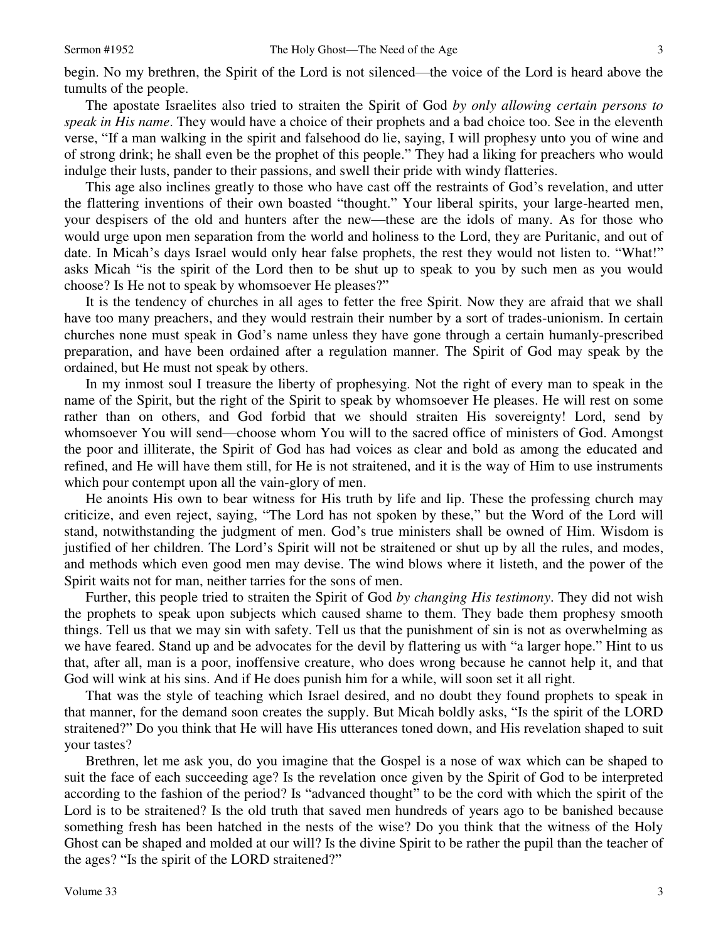begin. No my brethren, the Spirit of the Lord is not silenced—the voice of the Lord is heard above the tumults of the people.

The apostate Israelites also tried to straiten the Spirit of God *by only allowing certain persons to speak in His name*. They would have a choice of their prophets and a bad choice too. See in the eleventh verse, "If a man walking in the spirit and falsehood do lie, saying, I will prophesy unto you of wine and of strong drink; he shall even be the prophet of this people." They had a liking for preachers who would indulge their lusts, pander to their passions, and swell their pride with windy flatteries.

This age also inclines greatly to those who have cast off the restraints of God's revelation, and utter the flattering inventions of their own boasted "thought." Your liberal spirits, your large-hearted men, your despisers of the old and hunters after the new—these are the idols of many. As for those who would urge upon men separation from the world and holiness to the Lord, they are Puritanic, and out of date. In Micah's days Israel would only hear false prophets, the rest they would not listen to. "What!" asks Micah "is the spirit of the Lord then to be shut up to speak to you by such men as you would choose? Is He not to speak by whomsoever He pleases?"

It is the tendency of churches in all ages to fetter the free Spirit. Now they are afraid that we shall have too many preachers, and they would restrain their number by a sort of trades-unionism. In certain churches none must speak in God's name unless they have gone through a certain humanly-prescribed preparation, and have been ordained after a regulation manner. The Spirit of God may speak by the ordained, but He must not speak by others.

In my inmost soul I treasure the liberty of prophesying. Not the right of every man to speak in the name of the Spirit, but the right of the Spirit to speak by whomsoever He pleases. He will rest on some rather than on others, and God forbid that we should straiten His sovereignty! Lord, send by whomsoever You will send—choose whom You will to the sacred office of ministers of God. Amongst the poor and illiterate, the Spirit of God has had voices as clear and bold as among the educated and refined, and He will have them still, for He is not straitened, and it is the way of Him to use instruments which pour contempt upon all the vain-glory of men.

He anoints His own to bear witness for His truth by life and lip. These the professing church may criticize, and even reject, saying, "The Lord has not spoken by these," but the Word of the Lord will stand, notwithstanding the judgment of men. God's true ministers shall be owned of Him. Wisdom is justified of her children. The Lord's Spirit will not be straitened or shut up by all the rules, and modes, and methods which even good men may devise. The wind blows where it listeth, and the power of the Spirit waits not for man, neither tarries for the sons of men.

Further, this people tried to straiten the Spirit of God *by changing His testimony*. They did not wish the prophets to speak upon subjects which caused shame to them. They bade them prophesy smooth things. Tell us that we may sin with safety. Tell us that the punishment of sin is not as overwhelming as we have feared. Stand up and be advocates for the devil by flattering us with "a larger hope." Hint to us that, after all, man is a poor, inoffensive creature, who does wrong because he cannot help it, and that God will wink at his sins. And if He does punish him for a while, will soon set it all right.

That was the style of teaching which Israel desired, and no doubt they found prophets to speak in that manner, for the demand soon creates the supply. But Micah boldly asks, "Is the spirit of the LORD straitened?" Do you think that He will have His utterances toned down, and His revelation shaped to suit your tastes?

Brethren, let me ask you, do you imagine that the Gospel is a nose of wax which can be shaped to suit the face of each succeeding age? Is the revelation once given by the Spirit of God to be interpreted according to the fashion of the period? Is "advanced thought" to be the cord with which the spirit of the Lord is to be straitened? Is the old truth that saved men hundreds of years ago to be banished because something fresh has been hatched in the nests of the wise? Do you think that the witness of the Holy Ghost can be shaped and molded at our will? Is the divine Spirit to be rather the pupil than the teacher of the ages? "Is the spirit of the LORD straitened?"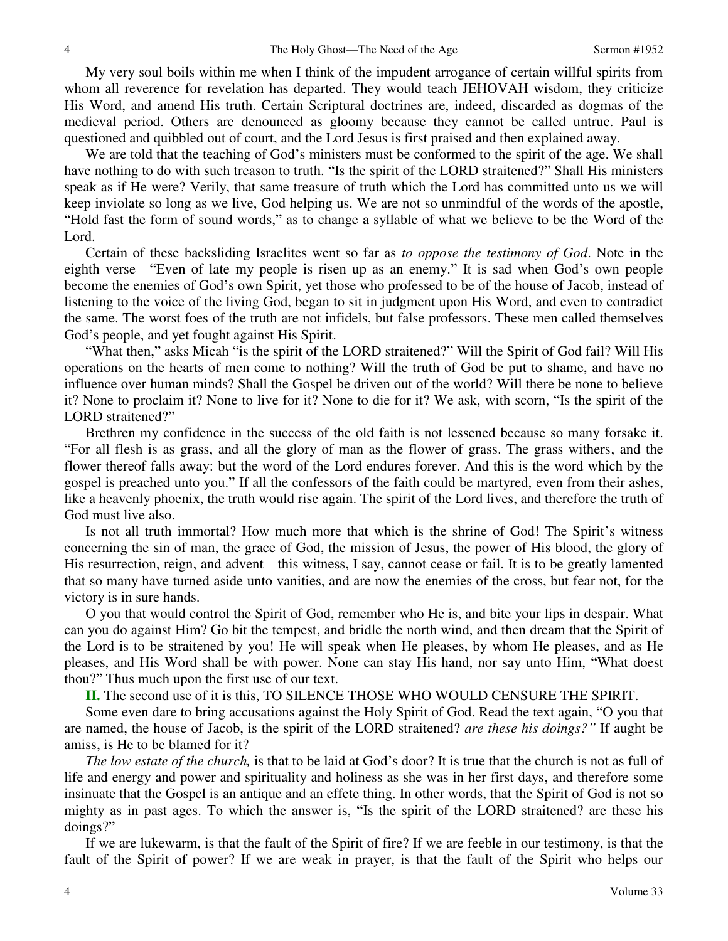My very soul boils within me when I think of the impudent arrogance of certain willful spirits from whom all reverence for revelation has departed. They would teach JEHOVAH wisdom, they criticize His Word, and amend His truth. Certain Scriptural doctrines are, indeed, discarded as dogmas of the medieval period. Others are denounced as gloomy because they cannot be called untrue. Paul is questioned and quibbled out of court, and the Lord Jesus is first praised and then explained away.

We are told that the teaching of God's ministers must be conformed to the spirit of the age. We shall have nothing to do with such treason to truth. "Is the spirit of the LORD straitened?" Shall His ministers speak as if He were? Verily, that same treasure of truth which the Lord has committed unto us we will keep inviolate so long as we live, God helping us. We are not so unmindful of the words of the apostle, "Hold fast the form of sound words," as to change a syllable of what we believe to be the Word of the Lord.

Certain of these backsliding Israelites went so far as *to oppose the testimony of God*. Note in the eighth verse—"Even of late my people is risen up as an enemy." It is sad when God's own people become the enemies of God's own Spirit, yet those who professed to be of the house of Jacob, instead of listening to the voice of the living God, began to sit in judgment upon His Word, and even to contradict the same. The worst foes of the truth are not infidels, but false professors. These men called themselves God's people, and yet fought against His Spirit.

"What then," asks Micah "is the spirit of the LORD straitened?" Will the Spirit of God fail? Will His operations on the hearts of men come to nothing? Will the truth of God be put to shame, and have no influence over human minds? Shall the Gospel be driven out of the world? Will there be none to believe it? None to proclaim it? None to live for it? None to die for it? We ask, with scorn, "Is the spirit of the LORD straitened?"

Brethren my confidence in the success of the old faith is not lessened because so many forsake it. "For all flesh is as grass, and all the glory of man as the flower of grass. The grass withers, and the flower thereof falls away: but the word of the Lord endures forever. And this is the word which by the gospel is preached unto you." If all the confessors of the faith could be martyred, even from their ashes, like a heavenly phoenix, the truth would rise again. The spirit of the Lord lives, and therefore the truth of God must live also.

Is not all truth immortal? How much more that which is the shrine of God! The Spirit's witness concerning the sin of man, the grace of God, the mission of Jesus, the power of His blood, the glory of His resurrection, reign, and advent—this witness, I say, cannot cease or fail. It is to be greatly lamented that so many have turned aside unto vanities, and are now the enemies of the cross, but fear not, for the victory is in sure hands.

O you that would control the Spirit of God, remember who He is, and bite your lips in despair. What can you do against Him? Go bit the tempest, and bridle the north wind, and then dream that the Spirit of the Lord is to be straitened by you! He will speak when He pleases, by whom He pleases, and as He pleases, and His Word shall be with power. None can stay His hand, nor say unto Him, "What doest thou?" Thus much upon the first use of our text.

**II.** The second use of it is this, TO SILENCE THOSE WHO WOULD CENSURE THE SPIRIT.

Some even dare to bring accusations against the Holy Spirit of God. Read the text again, "O you that are named, the house of Jacob, is the spirit of the LORD straitened? *are these his doings?"* If aught be amiss, is He to be blamed for it?

*The low estate of the church,* is that to be laid at God's door? It is true that the church is not as full of life and energy and power and spirituality and holiness as she was in her first days, and therefore some insinuate that the Gospel is an antique and an effete thing. In other words, that the Spirit of God is not so mighty as in past ages. To which the answer is, "Is the spirit of the LORD straitened? are these his doings?"

If we are lukewarm, is that the fault of the Spirit of fire? If we are feeble in our testimony, is that the fault of the Spirit of power? If we are weak in prayer, is that the fault of the Spirit who helps our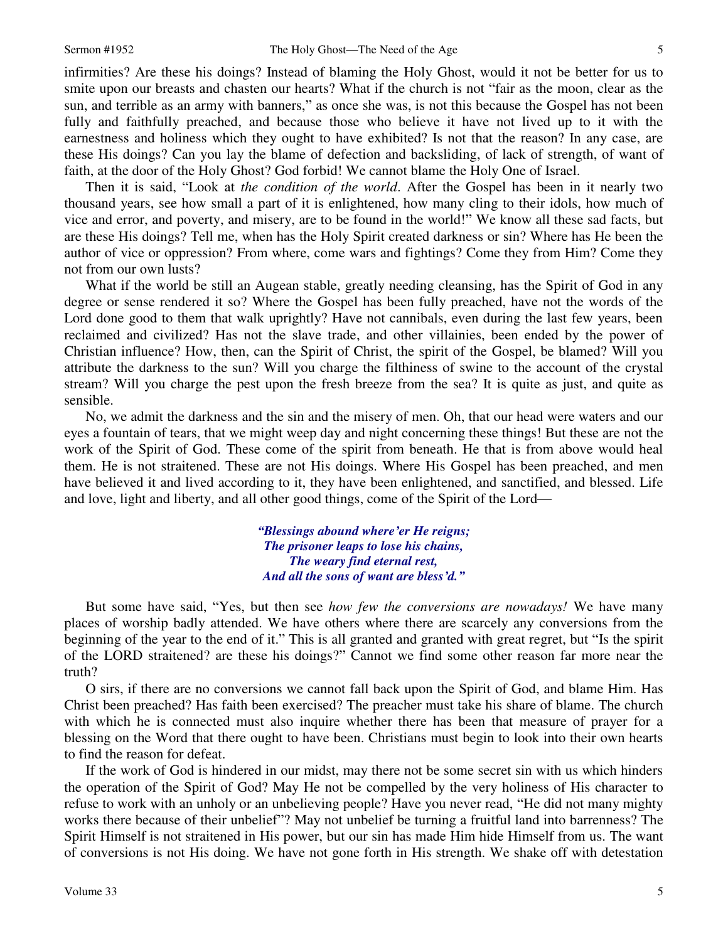infirmities? Are these his doings? Instead of blaming the Holy Ghost, would it not be better for us to smite upon our breasts and chasten our hearts? What if the church is not "fair as the moon, clear as the sun, and terrible as an army with banners," as once she was, is not this because the Gospel has not been fully and faithfully preached, and because those who believe it have not lived up to it with the earnestness and holiness which they ought to have exhibited? Is not that the reason? In any case, are these His doings? Can you lay the blame of defection and backsliding, of lack of strength, of want of faith, at the door of the Holy Ghost? God forbid! We cannot blame the Holy One of Israel.

Then it is said, "Look at *the condition of the world*. After the Gospel has been in it nearly two thousand years, see how small a part of it is enlightened, how many cling to their idols, how much of vice and error, and poverty, and misery, are to be found in the world!" We know all these sad facts, but are these His doings? Tell me, when has the Holy Spirit created darkness or sin? Where has He been the author of vice or oppression? From where, come wars and fightings? Come they from Him? Come they not from our own lusts?

What if the world be still an Augean stable, greatly needing cleansing, has the Spirit of God in any degree or sense rendered it so? Where the Gospel has been fully preached, have not the words of the Lord done good to them that walk uprightly? Have not cannibals, even during the last few years, been reclaimed and civilized? Has not the slave trade, and other villainies, been ended by the power of Christian influence? How, then, can the Spirit of Christ, the spirit of the Gospel, be blamed? Will you attribute the darkness to the sun? Will you charge the filthiness of swine to the account of the crystal stream? Will you charge the pest upon the fresh breeze from the sea? It is quite as just, and quite as sensible.

No, we admit the darkness and the sin and the misery of men. Oh, that our head were waters and our eyes a fountain of tears, that we might weep day and night concerning these things! But these are not the work of the Spirit of God. These come of the spirit from beneath. He that is from above would heal them. He is not straitened. These are not His doings. Where His Gospel has been preached, and men have believed it and lived according to it, they have been enlightened, and sanctified, and blessed. Life and love, light and liberty, and all other good things, come of the Spirit of the Lord—

> *"Blessings abound where'er He reigns; The prisoner leaps to lose his chains, The weary find eternal rest, And all the sons of want are bless'd."*

But some have said, "Yes, but then see *how few the conversions are nowadays!* We have many places of worship badly attended. We have others where there are scarcely any conversions from the beginning of the year to the end of it." This is all granted and granted with great regret, but "Is the spirit of the LORD straitened? are these his doings?" Cannot we find some other reason far more near the truth?

O sirs, if there are no conversions we cannot fall back upon the Spirit of God, and blame Him. Has Christ been preached? Has faith been exercised? The preacher must take his share of blame. The church with which he is connected must also inquire whether there has been that measure of prayer for a blessing on the Word that there ought to have been. Christians must begin to look into their own hearts to find the reason for defeat.

If the work of God is hindered in our midst, may there not be some secret sin with us which hinders the operation of the Spirit of God? May He not be compelled by the very holiness of His character to refuse to work with an unholy or an unbelieving people? Have you never read, "He did not many mighty works there because of their unbelief"? May not unbelief be turning a fruitful land into barrenness? The Spirit Himself is not straitened in His power, but our sin has made Him hide Himself from us. The want of conversions is not His doing. We have not gone forth in His strength. We shake off with detestation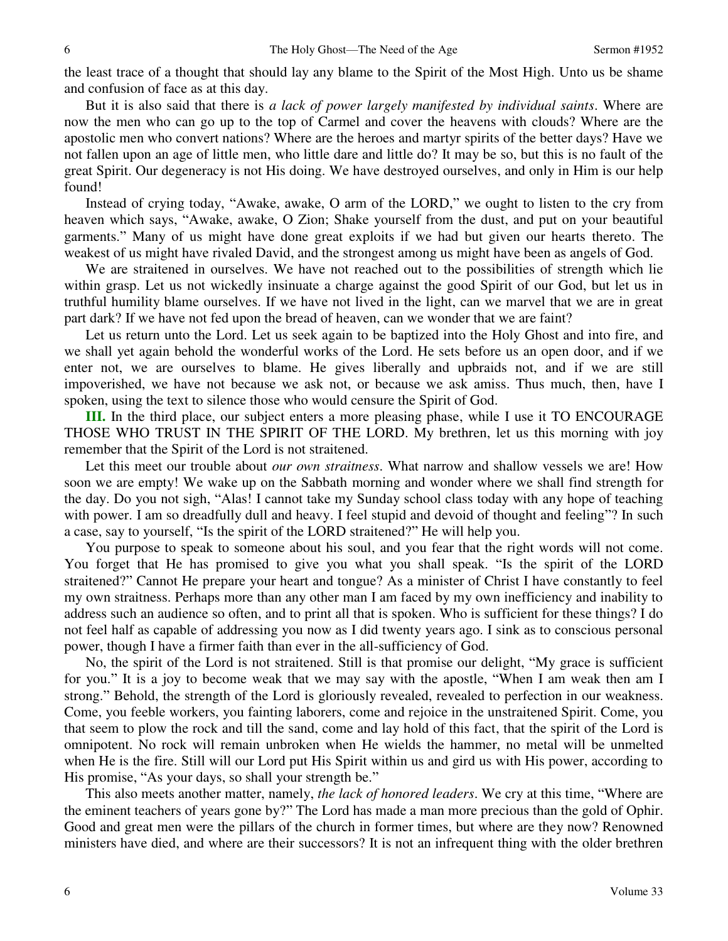the least trace of a thought that should lay any blame to the Spirit of the Most High. Unto us be shame and confusion of face as at this day.

But it is also said that there is *a lack of power largely manifested by individual saints*. Where are now the men who can go up to the top of Carmel and cover the heavens with clouds? Where are the apostolic men who convert nations? Where are the heroes and martyr spirits of the better days? Have we not fallen upon an age of little men, who little dare and little do? It may be so, but this is no fault of the great Spirit. Our degeneracy is not His doing. We have destroyed ourselves, and only in Him is our help found!

Instead of crying today, "Awake, awake, O arm of the LORD," we ought to listen to the cry from heaven which says, "Awake, awake, O Zion; Shake yourself from the dust, and put on your beautiful garments." Many of us might have done great exploits if we had but given our hearts thereto. The weakest of us might have rivaled David, and the strongest among us might have been as angels of God.

We are straitened in ourselves. We have not reached out to the possibilities of strength which lie within grasp. Let us not wickedly insinuate a charge against the good Spirit of our God, but let us in truthful humility blame ourselves. If we have not lived in the light, can we marvel that we are in great part dark? If we have not fed upon the bread of heaven, can we wonder that we are faint?

Let us return unto the Lord. Let us seek again to be baptized into the Holy Ghost and into fire, and we shall yet again behold the wonderful works of the Lord. He sets before us an open door, and if we enter not, we are ourselves to blame. He gives liberally and upbraids not, and if we are still impoverished, we have not because we ask not, or because we ask amiss. Thus much, then, have I spoken, using the text to silence those who would censure the Spirit of God.

**III.** In the third place, our subject enters a more pleasing phase, while I use it TO ENCOURAGE THOSE WHO TRUST IN THE SPIRIT OF THE LORD. My brethren, let us this morning with joy remember that the Spirit of the Lord is not straitened.

Let this meet our trouble about *our own straitness*. What narrow and shallow vessels we are! How soon we are empty! We wake up on the Sabbath morning and wonder where we shall find strength for the day. Do you not sigh, "Alas! I cannot take my Sunday school class today with any hope of teaching with power. I am so dreadfully dull and heavy. I feel stupid and devoid of thought and feeling"? In such a case, say to yourself, "Is the spirit of the LORD straitened?" He will help you.

You purpose to speak to someone about his soul, and you fear that the right words will not come. You forget that He has promised to give you what you shall speak. "Is the spirit of the LORD straitened?" Cannot He prepare your heart and tongue? As a minister of Christ I have constantly to feel my own straitness. Perhaps more than any other man I am faced by my own inefficiency and inability to address such an audience so often, and to print all that is spoken. Who is sufficient for these things? I do not feel half as capable of addressing you now as I did twenty years ago. I sink as to conscious personal power, though I have a firmer faith than ever in the all-sufficiency of God.

No, the spirit of the Lord is not straitened. Still is that promise our delight, "My grace is sufficient for you." It is a joy to become weak that we may say with the apostle, "When I am weak then am I strong." Behold, the strength of the Lord is gloriously revealed, revealed to perfection in our weakness. Come, you feeble workers, you fainting laborers, come and rejoice in the unstraitened Spirit. Come, you that seem to plow the rock and till the sand, come and lay hold of this fact, that the spirit of the Lord is omnipotent. No rock will remain unbroken when He wields the hammer, no metal will be unmelted when He is the fire. Still will our Lord put His Spirit within us and gird us with His power, according to His promise, "As your days, so shall your strength be."

This also meets another matter, namely, *the lack of honored leaders*. We cry at this time, "Where are the eminent teachers of years gone by?" The Lord has made a man more precious than the gold of Ophir. Good and great men were the pillars of the church in former times, but where are they now? Renowned ministers have died, and where are their successors? It is not an infrequent thing with the older brethren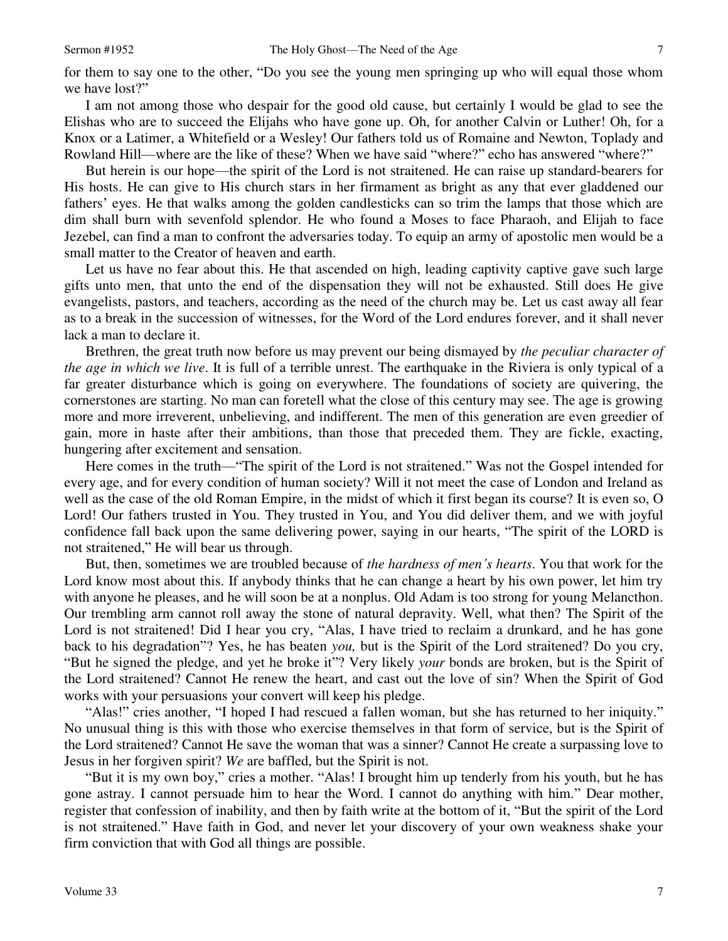for them to say one to the other, "Do you see the young men springing up who will equal those whom we have lost?"

I am not among those who despair for the good old cause, but certainly I would be glad to see the Elishas who are to succeed the Elijahs who have gone up. Oh, for another Calvin or Luther! Oh, for a Knox or a Latimer, a Whitefield or a Wesley! Our fathers told us of Romaine and Newton, Toplady and Rowland Hill—where are the like of these? When we have said "where?" echo has answered "where?"

But herein is our hope—the spirit of the Lord is not straitened. He can raise up standard-bearers for His hosts. He can give to His church stars in her firmament as bright as any that ever gladdened our fathers' eyes. He that walks among the golden candlesticks can so trim the lamps that those which are dim shall burn with sevenfold splendor. He who found a Moses to face Pharaoh, and Elijah to face Jezebel, can find a man to confront the adversaries today. To equip an army of apostolic men would be a small matter to the Creator of heaven and earth.

Let us have no fear about this. He that ascended on high, leading captivity captive gave such large gifts unto men, that unto the end of the dispensation they will not be exhausted. Still does He give evangelists, pastors, and teachers, according as the need of the church may be. Let us cast away all fear as to a break in the succession of witnesses, for the Word of the Lord endures forever, and it shall never lack a man to declare it.

Brethren, the great truth now before us may prevent our being dismayed by *the peculiar character of the age in which we live*. It is full of a terrible unrest. The earthquake in the Riviera is only typical of a far greater disturbance which is going on everywhere. The foundations of society are quivering, the cornerstones are starting. No man can foretell what the close of this century may see. The age is growing more and more irreverent, unbelieving, and indifferent. The men of this generation are even greedier of gain, more in haste after their ambitions, than those that preceded them. They are fickle, exacting, hungering after excitement and sensation.

Here comes in the truth—"The spirit of the Lord is not straitened." Was not the Gospel intended for every age, and for every condition of human society? Will it not meet the case of London and Ireland as well as the case of the old Roman Empire, in the midst of which it first began its course? It is even so, O Lord! Our fathers trusted in You. They trusted in You, and You did deliver them, and we with joyful confidence fall back upon the same delivering power, saying in our hearts, "The spirit of the LORD is not straitened," He will bear us through.

But, then, sometimes we are troubled because of *the hardness of men's hearts*. You that work for the Lord know most about this. If anybody thinks that he can change a heart by his own power, let him try with anyone he pleases, and he will soon be at a nonplus. Old Adam is too strong for young Melancthon. Our trembling arm cannot roll away the stone of natural depravity. Well, what then? The Spirit of the Lord is not straitened! Did I hear you cry, "Alas, I have tried to reclaim a drunkard, and he has gone back to his degradation"? Yes, he has beaten *you,* but is the Spirit of the Lord straitened? Do you cry, "But he signed the pledge, and yet he broke it"? Very likely *your* bonds are broken, but is the Spirit of the Lord straitened? Cannot He renew the heart, and cast out the love of sin? When the Spirit of God works with your persuasions your convert will keep his pledge.

"Alas!" cries another, "I hoped I had rescued a fallen woman, but she has returned to her iniquity." No unusual thing is this with those who exercise themselves in that form of service, but is the Spirit of the Lord straitened? Cannot He save the woman that was a sinner? Cannot He create a surpassing love to Jesus in her forgiven spirit? *We* are baffled, but the Spirit is not.

"But it is my own boy," cries a mother. "Alas! I brought him up tenderly from his youth, but he has gone astray. I cannot persuade him to hear the Word. I cannot do anything with him." Dear mother, register that confession of inability, and then by faith write at the bottom of it, "But the spirit of the Lord is not straitened." Have faith in God, and never let your discovery of your own weakness shake your firm conviction that with God all things are possible.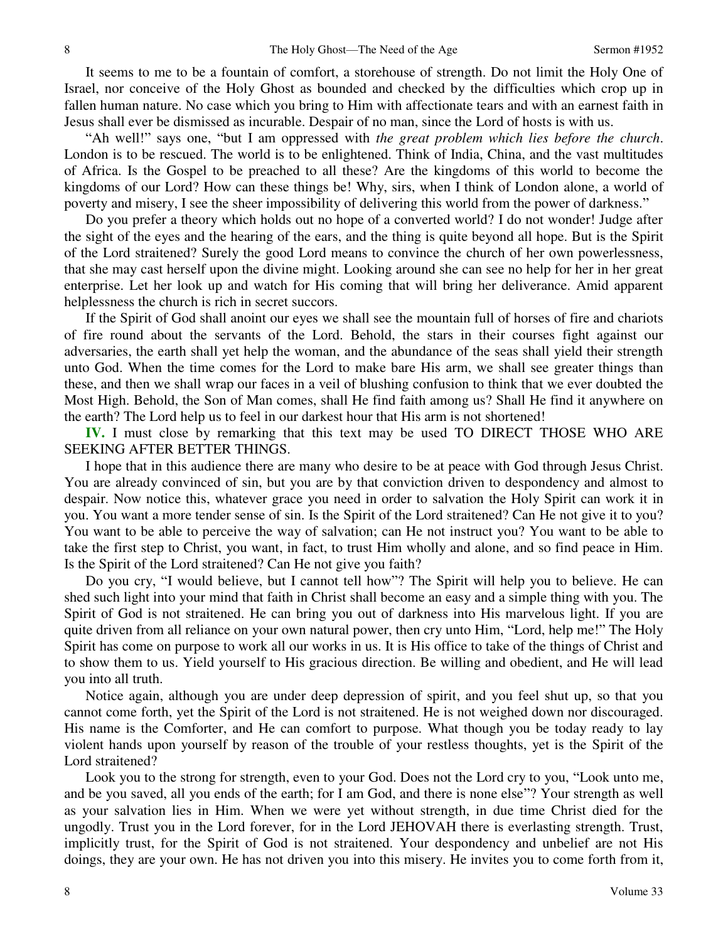It seems to me to be a fountain of comfort, a storehouse of strength. Do not limit the Holy One of Israel, nor conceive of the Holy Ghost as bounded and checked by the difficulties which crop up in fallen human nature. No case which you bring to Him with affectionate tears and with an earnest faith in Jesus shall ever be dismissed as incurable. Despair of no man, since the Lord of hosts is with us.

"Ah well!" says one, "but I am oppressed with *the great problem which lies before the church*. London is to be rescued. The world is to be enlightened. Think of India, China, and the vast multitudes of Africa. Is the Gospel to be preached to all these? Are the kingdoms of this world to become the kingdoms of our Lord? How can these things be! Why, sirs, when I think of London alone, a world of poverty and misery, I see the sheer impossibility of delivering this world from the power of darkness."

Do you prefer a theory which holds out no hope of a converted world? I do not wonder! Judge after the sight of the eyes and the hearing of the ears, and the thing is quite beyond all hope. But is the Spirit of the Lord straitened? Surely the good Lord means to convince the church of her own powerlessness, that she may cast herself upon the divine might. Looking around she can see no help for her in her great enterprise. Let her look up and watch for His coming that will bring her deliverance. Amid apparent helplessness the church is rich in secret succors.

If the Spirit of God shall anoint our eyes we shall see the mountain full of horses of fire and chariots of fire round about the servants of the Lord. Behold, the stars in their courses fight against our adversaries, the earth shall yet help the woman, and the abundance of the seas shall yield their strength unto God. When the time comes for the Lord to make bare His arm, we shall see greater things than these, and then we shall wrap our faces in a veil of blushing confusion to think that we ever doubted the Most High. Behold, the Son of Man comes, shall He find faith among us? Shall He find it anywhere on the earth? The Lord help us to feel in our darkest hour that His arm is not shortened!

**IV.** I must close by remarking that this text may be used TO DIRECT THOSE WHO ARE SEEKING AFTER BETTER THINGS.

I hope that in this audience there are many who desire to be at peace with God through Jesus Christ. You are already convinced of sin, but you are by that conviction driven to despondency and almost to despair. Now notice this, whatever grace you need in order to salvation the Holy Spirit can work it in you. You want a more tender sense of sin. Is the Spirit of the Lord straitened? Can He not give it to you? You want to be able to perceive the way of salvation; can He not instruct you? You want to be able to take the first step to Christ, you want, in fact, to trust Him wholly and alone, and so find peace in Him. Is the Spirit of the Lord straitened? Can He not give you faith?

Do you cry, "I would believe, but I cannot tell how"? The Spirit will help you to believe. He can shed such light into your mind that faith in Christ shall become an easy and a simple thing with you. The Spirit of God is not straitened. He can bring you out of darkness into His marvelous light. If you are quite driven from all reliance on your own natural power, then cry unto Him, "Lord, help me!" The Holy Spirit has come on purpose to work all our works in us. It is His office to take of the things of Christ and to show them to us. Yield yourself to His gracious direction. Be willing and obedient, and He will lead you into all truth.

Notice again, although you are under deep depression of spirit, and you feel shut up, so that you cannot come forth, yet the Spirit of the Lord is not straitened. He is not weighed down nor discouraged. His name is the Comforter, and He can comfort to purpose. What though you be today ready to lay violent hands upon yourself by reason of the trouble of your restless thoughts, yet is the Spirit of the Lord straitened?

Look you to the strong for strength, even to your God. Does not the Lord cry to you, "Look unto me, and be you saved, all you ends of the earth; for I am God, and there is none else"? Your strength as well as your salvation lies in Him. When we were yet without strength, in due time Christ died for the ungodly. Trust you in the Lord forever, for in the Lord JEHOVAH there is everlasting strength. Trust, implicitly trust, for the Spirit of God is not straitened. Your despondency and unbelief are not His doings, they are your own. He has not driven you into this misery. He invites you to come forth from it,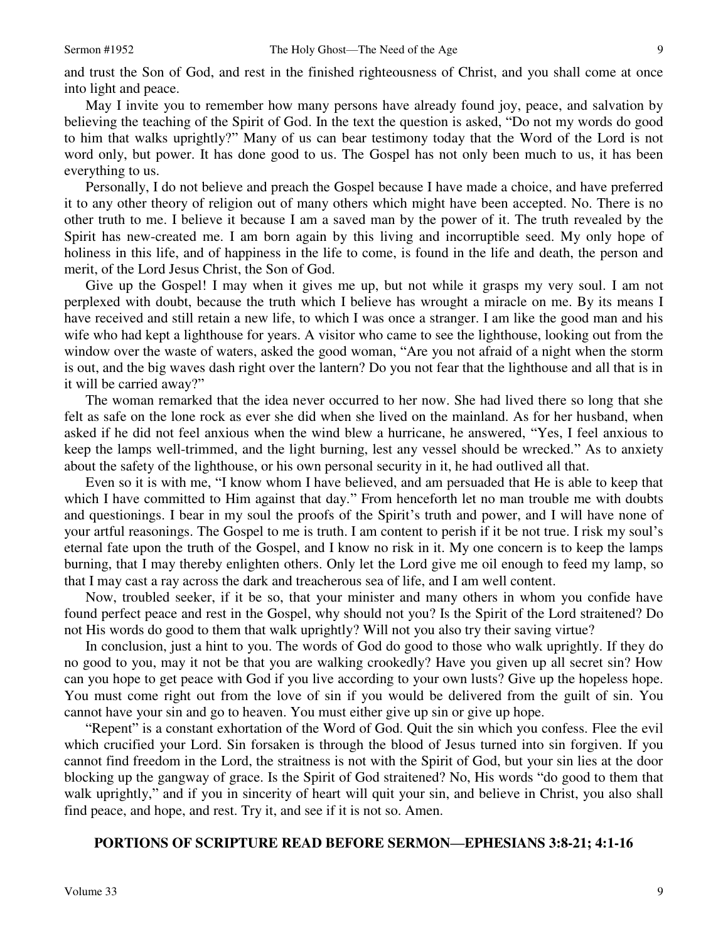and trust the Son of God, and rest in the finished righteousness of Christ, and you shall come at once into light and peace.

May I invite you to remember how many persons have already found joy, peace, and salvation by believing the teaching of the Spirit of God. In the text the question is asked, "Do not my words do good to him that walks uprightly?" Many of us can bear testimony today that the Word of the Lord is not word only, but power. It has done good to us. The Gospel has not only been much to us, it has been everything to us.

Personally, I do not believe and preach the Gospel because I have made a choice, and have preferred it to any other theory of religion out of many others which might have been accepted. No. There is no other truth to me. I believe it because I am a saved man by the power of it. The truth revealed by the Spirit has new-created me. I am born again by this living and incorruptible seed. My only hope of holiness in this life, and of happiness in the life to come, is found in the life and death, the person and merit, of the Lord Jesus Christ, the Son of God.

Give up the Gospel! I may when it gives me up, but not while it grasps my very soul. I am not perplexed with doubt, because the truth which I believe has wrought a miracle on me. By its means I have received and still retain a new life, to which I was once a stranger. I am like the good man and his wife who had kept a lighthouse for years. A visitor who came to see the lighthouse, looking out from the window over the waste of waters, asked the good woman, "Are you not afraid of a night when the storm is out, and the big waves dash right over the lantern? Do you not fear that the lighthouse and all that is in it will be carried away?"

The woman remarked that the idea never occurred to her now. She had lived there so long that she felt as safe on the lone rock as ever she did when she lived on the mainland. As for her husband, when asked if he did not feel anxious when the wind blew a hurricane, he answered, "Yes, I feel anxious to keep the lamps well-trimmed, and the light burning, lest any vessel should be wrecked." As to anxiety about the safety of the lighthouse, or his own personal security in it, he had outlived all that.

Even so it is with me, "I know whom I have believed, and am persuaded that He is able to keep that which I have committed to Him against that day." From henceforth let no man trouble me with doubts and questionings. I bear in my soul the proofs of the Spirit's truth and power, and I will have none of your artful reasonings. The Gospel to me is truth. I am content to perish if it be not true. I risk my soul's eternal fate upon the truth of the Gospel, and I know no risk in it. My one concern is to keep the lamps burning, that I may thereby enlighten others. Only let the Lord give me oil enough to feed my lamp, so that I may cast a ray across the dark and treacherous sea of life, and I am well content.

Now, troubled seeker, if it be so, that your minister and many others in whom you confide have found perfect peace and rest in the Gospel, why should not you? Is the Spirit of the Lord straitened? Do not His words do good to them that walk uprightly? Will not you also try their saving virtue?

In conclusion, just a hint to you. The words of God do good to those who walk uprightly. If they do no good to you, may it not be that you are walking crookedly? Have you given up all secret sin? How can you hope to get peace with God if you live according to your own lusts? Give up the hopeless hope. You must come right out from the love of sin if you would be delivered from the guilt of sin. You cannot have your sin and go to heaven. You must either give up sin or give up hope.

"Repent" is a constant exhortation of the Word of God. Quit the sin which you confess. Flee the evil which crucified your Lord. Sin forsaken is through the blood of Jesus turned into sin forgiven. If you cannot find freedom in the Lord, the straitness is not with the Spirit of God, but your sin lies at the door blocking up the gangway of grace. Is the Spirit of God straitened? No, His words "do good to them that walk uprightly," and if you in sincerity of heart will quit your sin, and believe in Christ, you also shall find peace, and hope, and rest. Try it, and see if it is not so. Amen.

## **PORTIONS OF SCRIPTURE READ BEFORE SERMON—EPHESIANS 3:8-21; 4:1-16**